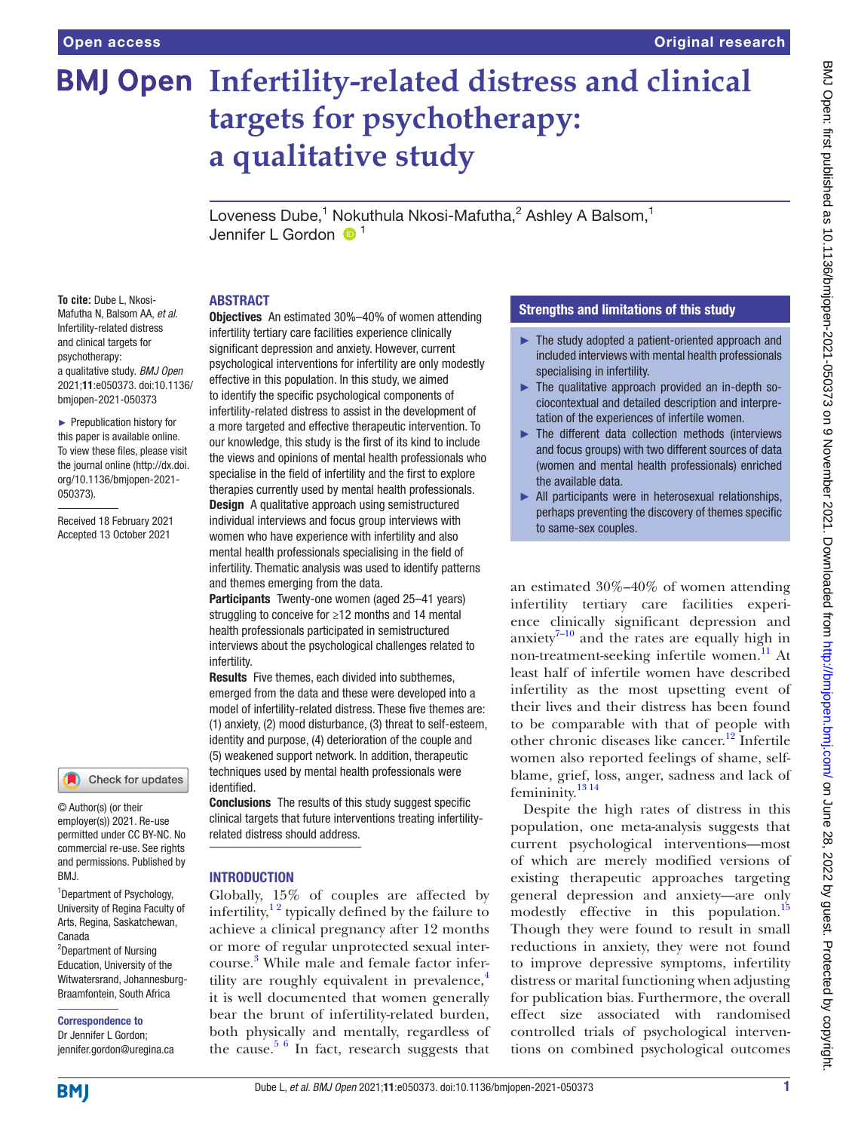# **BMJ Open Infertility-related distress and clinical targets for psychotherapy: a qualitative study**

Loveness Dube,<sup>1</sup> Nokuthula Nkosi-Mafutha,<sup>2</sup> Ashley A Balsom,<sup>1</sup> Jennifer L Gordon  $\mathbf{0}^1$ 

#### ABSTRACT

**To cite:** Dube L, Nkosi-Mafutha N, Balsom AA, *et al*. Infertility-related distress and clinical targets for psychotherapy: a qualitative study. *BMJ Open* 2021;11:e050373. doi:10.1136/ bmjopen-2021-050373

► Prepublication history for this paper is available online. To view these files, please visit the journal online [\(http://dx.doi.](http://dx.doi.org/10.1136/bmjopen-2021-050373) [org/10.1136/bmjopen-2021-](http://dx.doi.org/10.1136/bmjopen-2021-050373) [050373\)](http://dx.doi.org/10.1136/bmjopen-2021-050373).

Received 18 February 2021 Accepted 13 October 2021



© Author(s) (or their employer(s)) 2021. Re-use permitted under CC BY-NC. No commercial re-use. See rights and permissions. Published by BMJ.

1 Department of Psychology, University of Regina Faculty of Arts, Regina, Saskatchewan, Canada

<sup>2</sup>Department of Nursing Education, University of the Witwatersrand, Johannesburg-Braamfontein, South Africa

Correspondence to

Dr Jennifer L Gordon; jennifer.gordon@uregina.ca

**Objectives** An estimated 30%–40% of women attending infertility tertiary care facilities experience clinically significant depression and anxiety. However, current psychological interventions for infertility are only modestly effective in this population. In this study, we aimed to identify the specific psychological components of infertility-related distress to assist in the development of a more targeted and effective therapeutic intervention. To our knowledge, this study is the first of its kind to include the views and opinions of mental health professionals who specialise in the field of infertility and the first to explore therapies currently used by mental health professionals. **Design** A qualitative approach using semistructured individual interviews and focus group interviews with women who have experience with infertility and also mental health professionals specialising in the field of infertility. Thematic analysis was used to identify patterns and themes emerging from the data.

Participants Twenty-one women (aged 25–41 years) struggling to conceive for ≥12 months and 14 mental health professionals participated in semistructured interviews about the psychological challenges related to infertility.

Results Five themes, each divided into subthemes, emerged from the data and these were developed into a model of infertility-related distress. These five themes are: (1) anxiety, (2) mood disturbance, (3) threat to self-esteem, identity and purpose, (4) deterioration of the couple and (5) weakened support network. In addition, therapeutic techniques used by mental health professionals were identified.

Conclusions The results of this study suggest specific clinical targets that future interventions treating infertilityrelated distress should address.

# INTRODUCTION

Globally, 15% of couples are affected by infertility, $1<sup>2</sup>$  typically defined by the failure to achieve a clinical pregnancy after 12 months or more of regular unprotected sexual intercourse. [3](#page-10-1) While male and female factor infertility are roughly equivalent in prevalence, $\frac{4}{3}$  $\frac{4}{3}$  $\frac{4}{3}$ it is well documented that women generally bear the brunt of infertility-related burden, both physically and mentally, regardless of the cause. $5/6$  In fact, research suggests that

# Strengths and limitations of this study

- ► The study adopted a patient-oriented approach and included interviews with mental health professionals specialising in infertility.
- $\blacktriangleright$  The qualitative approach provided an in-depth sociocontextual and detailed description and interpretation of the experiences of infertile women.
- ► The different data collection methods (interviews and focus groups) with two different sources of data (women and mental health professionals) enriched the available data.
- ► All participants were in heterosexual relationships, perhaps preventing the discovery of themes specific to same-sex couples.

an estimated 30%–40% of women attending infertility tertiary care facilities experience clinically significant depression and anxiety $7-10$  and the rates are equally high in non-treatment-seeking infertile women.<sup>11</sup> At least half of infertile women have described infertility as the most upsetting event of their lives and their distress has been found to be comparable with that of people with other chronic diseases like cancer.<sup>[12](#page-11-0)</sup> Infertile women also reported feelings of shame, selfblame, grief, loss, anger, sadness and lack of femininity.<sup>13</sup><sup>14</sup>

Despite the high rates of distress in this population, one meta-analysis suggests that current psychological interventions—most of which are merely modified versions of existing therapeutic approaches targeting general depression and anxiety—are only modestly effective in this population.<sup>[15](#page-11-2)</sup> Though they were found to result in small reductions in anxiety, they were not found to improve depressive symptoms, infertility distress or marital functioning when adjusting for publication bias. Furthermore, the overall effect size associated with randomised controlled trials of psychological interventions on combined psychological outcomes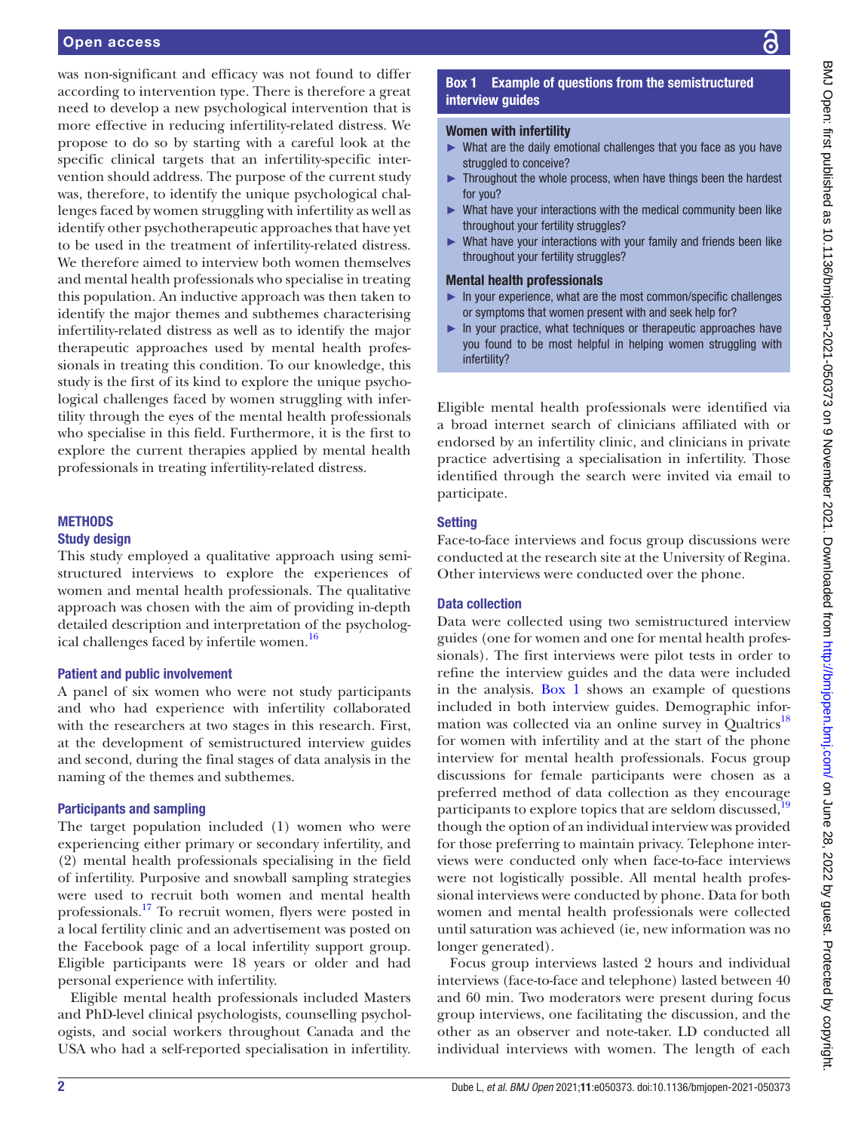was non-significant and efficacy was not found to differ according to intervention type. There is therefore a great need to develop a new psychological intervention that is more effective in reducing infertility-related distress. We propose to do so by starting with a careful look at the specific clinical targets that an infertility-specific intervention should address. The purpose of the current study was, therefore, to identify the unique psychological challenges faced by women struggling with infertility as well as identify other psychotherapeutic approaches that have yet to be used in the treatment of infertility-related distress. We therefore aimed to interview both women themselves and mental health professionals who specialise in treating this population. An inductive approach was then taken to identify the major themes and subthemes characterising infertility-related distress as well as to identify the major therapeutic approaches used by mental health professionals in treating this condition. To our knowledge, this study is the first of its kind to explore the unique psychological challenges faced by women struggling with infertility through the eyes of the mental health professionals who specialise in this field. Furthermore, it is the first to explore the current therapies applied by mental health professionals in treating infertility-related distress.

# **METHODS**

#### Study design

This study employed a qualitative approach using semistructured interviews to explore the experiences of women and mental health professionals. The qualitative approach was chosen with the aim of providing in-depth detailed description and interpretation of the psychological challenges faced by infertile women.<sup>16</sup>

#### Patient and public involvement

A panel of six women who were not study participants and who had experience with infertility collaborated with the researchers at two stages in this research. First, at the development of semistructured interview guides and second, during the final stages of data analysis in the naming of the themes and subthemes.

#### Participants and sampling

The target population included (1) women who were experiencing either primary or secondary infertility, and (2) mental health professionals specialising in the field of infertility. Purposive and snowball sampling strategies were used to recruit both women and mental health professionals[.17](#page-11-4) To recruit women, flyers were posted in a local fertility clinic and an advertisement was posted on the Facebook page of a local infertility support group. Eligible participants were 18 years or older and had personal experience with infertility.

Eligible mental health professionals included Masters and PhD-level clinical psychologists, counselling psychologists, and social workers throughout Canada and the USA who had a self-reported specialisation in infertility.

# Box 1 Example of questions from the semistructured interview guides

# <span id="page-1-0"></span>Women with infertility

- What are the daily emotional challenges that you face as you have struggled to conceive?
- ► Throughout the whole process, when have things been the hardest for you?
- ► What have your interactions with the medical community been like throughout your fertility struggles?
- ► What have your interactions with your family and friends been like throughout your fertility struggles?

# Mental health professionals

- In your experience, what are the most common/specific challenges or symptoms that women present with and seek help for?
- ► In your practice, what techniques or therapeutic approaches have you found to be most helpful in helping women struggling with infertility?

Eligible mental health professionals were identified via a broad internet search of clinicians affiliated with or endorsed by an infertility clinic, and clinicians in private practice advertising a specialisation in infertility. Those identified through the search were invited via email to participate.

#### **Setting**

Face-to-face interviews and focus group discussions were conducted at the research site at the University of Regina. Other interviews were conducted over the phone.

#### Data collection

Data were collected using two semistructured interview guides (one for women and one for mental health professionals). The first interviews were pilot tests in order to refine the interview guides and the data were included in the analysis. [Box](#page-1-0) 1 shows an example of questions included in both interview guides. Demographic infor-mation was collected via an online survey in Qualtrics<sup>[18](#page-11-5)</sup> for women with infertility and at the start of the phone interview for mental health professionals. Focus group discussions for female participants were chosen as a preferred method of data collection as they encourage participants to explore topics that are seldom discussed,<sup>[19](#page-11-6)</sup> though the option of an individual interview was provided for those preferring to maintain privacy. Telephone interviews were conducted only when face-to-face interviews were not logistically possible. All mental health professional interviews were conducted by phone. Data for both women and mental health professionals were collected until saturation was achieved (ie, new information was no longer generated).

Focus group interviews lasted 2 hours and individual interviews (face-to-face and telephone) lasted between 40 and 60 min. Two moderators were present during focus group interviews, one facilitating the discussion, and the other as an observer and note-taker. LD conducted all individual interviews with women. The length of each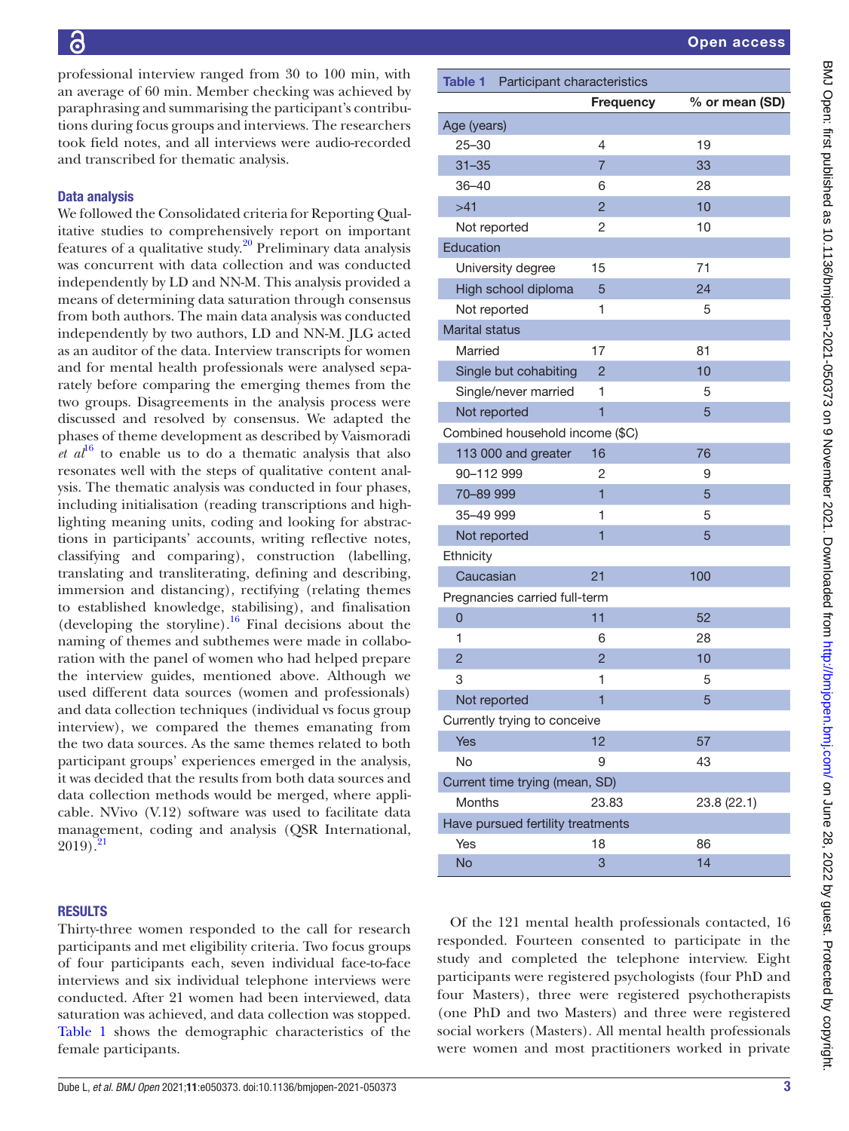professional interview ranged from 30 to 100 min, with an average of 60 min. Member checking was achieved by paraphrasing and summarising the participant's contributions during focus groups and interviews. The researchers took field notes, and all interviews were audio-recorded and transcribed for thematic analysis.

# Data analysis

We followed the Consolidated criteria for Reporting Qualitative studies to comprehensively report on important features of a qualitative study. $20$  Preliminary data analysis was concurrent with data collection and was conducted independently by LD and NN-M. This analysis provided a means of determining data saturation through consensus from both authors. The main data analysis was conducted independently by two authors, LD and NN-M. JLG acted as an auditor of the data. Interview transcripts for women and for mental health professionals were analysed separately before comparing the emerging themes from the two groups. Disagreements in the analysis process were discussed and resolved by consensus. We adapted the phases of theme development as described by Vaismoradi  $et\ a^{\mu}$ <sup>th</sup> to enable us to do a thematic analysis that also resonates well with the steps of qualitative content analysis. The thematic analysis was conducted in four phases, including initialisation (reading transcriptions and highlighting meaning units, coding and looking for abstractions in participants' accounts, writing reflective notes, classifying and comparing), construction (labelling, translating and transliterating, defining and describing, immersion and distancing), rectifying (relating themes to established knowledge, stabilising), and finalisation (developing the storyline).<sup>[16](#page-11-3)</sup> Final decisions about the naming of themes and subthemes were made in collaboration with the panel of women who had helped prepare the interview guides, mentioned above. Although we used different data sources (women and professionals) and data collection techniques (individual vs focus group interview), we compared the themes emanating from the two data sources. As the same themes related to both participant groups' experiences emerged in the analysis, it was decided that the results from both data sources and data collection methods would be merged, where applicable. NVivo (V.12) software was used to facilitate data management, coding and analysis (QSR International,  $2019$ .

#### RESULTS

Thirty-three women responded to the call for research participants and met eligibility criteria. Two focus groups of four participants each, seven individual face-to-face interviews and six individual telephone interviews were conducted. After 21 women had been interviewed, data saturation was achieved, and data collection was stopped. [Table](#page-2-0) 1 shows the demographic characteristics of the female participants.

<span id="page-2-0"></span>

| Table 1 Participant characteristics |                  |                |
|-------------------------------------|------------------|----------------|
|                                     | <b>Frequency</b> | % or mean (SD) |
| Age (years)                         |                  |                |
| $25 - 30$                           | 4                | 19             |
| $31 - 35$                           | $\overline{7}$   | 33             |
| $36 - 40$                           | 6                | 28             |
| >41                                 | $\overline{2}$   | 10             |
| Not reported                        | 2                | 10             |
| Education                           |                  |                |
| University degree                   | 15               | 71             |
| High school diploma                 | 5                | 24             |
| Not reported                        | 1                | 5              |
| <b>Marital status</b>               |                  |                |
| Married                             | 17               | 81             |
| Single but cohabiting               | $\overline{2}$   | 10             |
| Single/never married                | 1                | 5              |
| Not reported                        | $\overline{1}$   | 5              |
| Combined household income (\$C)     |                  |                |
| 113 000 and greater                 | 16               | 76             |
| 90-112 999                          | 2                | 9              |
| 70-89 999                           | 1                | 5              |
| 35-49 999                           | 1                | 5              |
| Not reported                        | 1                | 5              |
| Ethnicity                           |                  |                |
| Caucasian                           | 21               | 100            |
| Pregnancies carried full-term       |                  |                |
| 0                                   | 11               | 52             |
| 1                                   | 6                | 28             |
| $\overline{c}$                      | $\overline{2}$   | 10             |
| 3                                   | 1                | 5              |
| Not reported                        | 1                | 5              |
| Currently trying to conceive        |                  |                |
| Yes                                 | 12               | 57             |
| No                                  | 9                | 43             |
| Current time trying (mean, SD)      |                  |                |
| Months                              | 23.83            | 23.8 (22.1)    |
| Have pursued fertility treatments   |                  |                |
| Yes                                 | 18               | 86             |
| <b>No</b>                           | 3                | 14             |
|                                     |                  |                |

Of the 121 mental health professionals contacted, 16 responded. Fourteen consented to participate in the study and completed the telephone interview. Eight participants were registered psychologists (four PhD and four Masters), three were registered psychotherapists (one PhD and two Masters) and three were registered social workers (Masters). All mental health professionals were women and most practitioners worked in private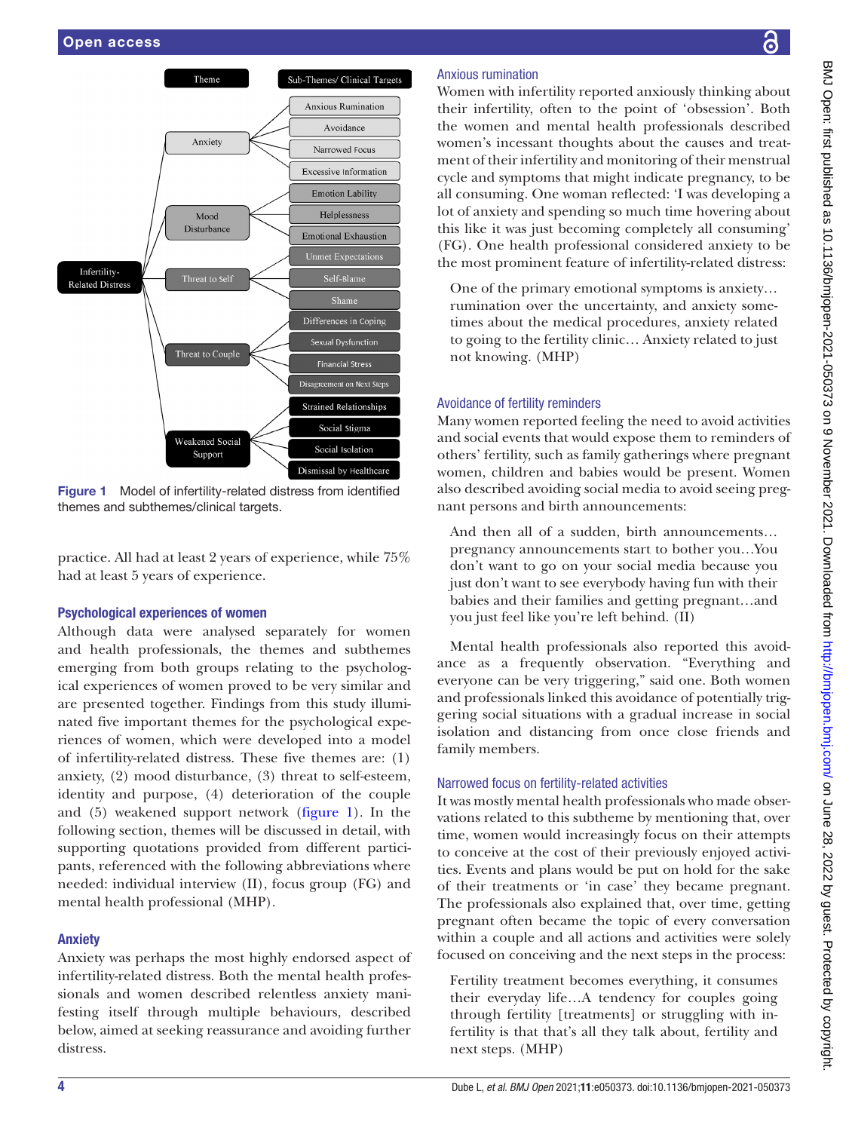

<span id="page-3-0"></span>Figure 1 Model of infertility-related distress from identified themes and subthemes/clinical targets.

practice. All had at least 2 years of experience, while 75% had at least 5 years of experience.

# Psychological experiences of women

Although data were analysed separately for women and health professionals, the themes and subthemes emerging from both groups relating to the psychological experiences of women proved to be very similar and are presented together. Findings from this study illuminated five important themes for the psychological experiences of women, which were developed into a model of infertility-related distress. These five themes are: (1) anxiety, (2) mood disturbance, (3) threat to self-esteem, identity and purpose, (4) deterioration of the couple and (5) weakened support network ([figure](#page-3-0) 1). In the following section, themes will be discussed in detail, with supporting quotations provided from different participants, referenced with the following abbreviations where needed: individual interview (II), focus group (FG) and mental health professional (MHP).

# Anxiety

Anxiety was perhaps the most highly endorsed aspect of infertility-related distress. Both the mental health professionals and women described relentless anxiety manifesting itself through multiple behaviours, described below, aimed at seeking reassurance and avoiding further distress.

# ဥ

# Anxious rumination

Women with infertility reported anxiously thinking about their infertility, often to the point of 'obsession'. Both the women and mental health professionals described women's incessant thoughts about the causes and treatment of their infertility and monitoring of their menstrual cycle and symptoms that might indicate pregnancy, to be all consuming. One woman reflected: 'I was developing a lot of anxiety and spending so much time hovering about this like it was just becoming completely all consuming' (FG). One health professional considered anxiety to be the most prominent feature of infertility-related distress:

One of the primary emotional symptoms is anxiety… rumination over the uncertainty, and anxiety sometimes about the medical procedures, anxiety related to going to the fertility clinic… Anxiety related to just not knowing. (MHP)

#### Avoidance of fertility reminders

Many women reported feeling the need to avoid activities and social events that would expose them to reminders of others' fertility, such as family gatherings where pregnant women, children and babies would be present. Women also described avoiding social media to avoid seeing pregnant persons and birth announcements:

And then all of a sudden, birth announcements… pregnancy announcements start to bother you…You don't want to go on your social media because you just don't want to see everybody having fun with their babies and their families and getting pregnant…and you just feel like you're left behind. (II)

Mental health professionals also reported this avoidance as a frequently observation. "Everything and everyone can be very triggering," said one. Both women and professionals linked this avoidance of potentially triggering social situations with a gradual increase in social isolation and distancing from once close friends and family members.

# Narrowed focus on fertility-related activities

It was mostly mental health professionals who made observations related to this subtheme by mentioning that, over time, women would increasingly focus on their attempts to conceive at the cost of their previously enjoyed activities. Events and plans would be put on hold for the sake of their treatments or 'in case' they became pregnant. The professionals also explained that, over time, getting pregnant often became the topic of every conversation within a couple and all actions and activities were solely focused on conceiving and the next steps in the process:

Fertility treatment becomes everything, it consumes their everyday life…A tendency for couples going through fertility [treatments] or struggling with infertility is that that's all they talk about, fertility and next steps. (MHP)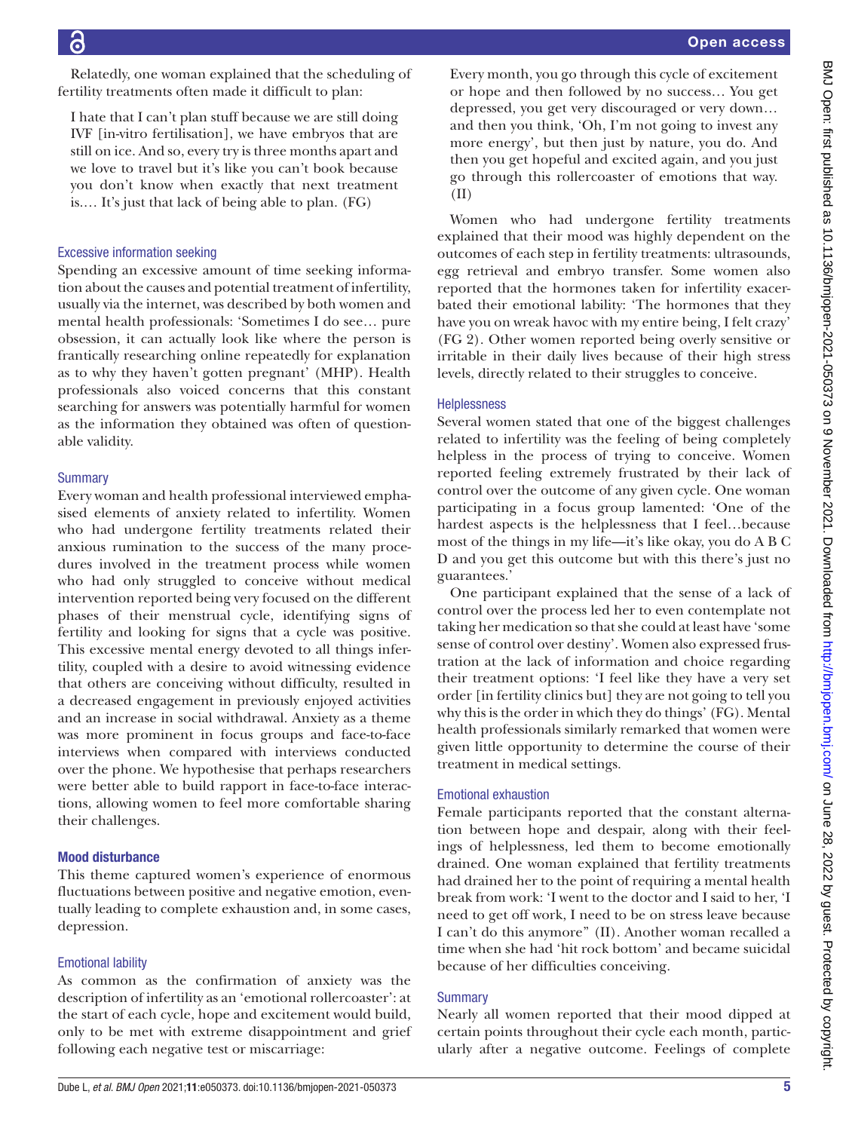Relatedly, one woman explained that the scheduling of fertility treatments often made it difficult to plan:

I hate that I can't plan stuff because we are still doing IVF [in-vitro fertilisation], we have embryos that are still on ice. And so, every try is three months apart and we love to travel but it's like you can't book because you don't know when exactly that next treatment is.… It's just that lack of being able to plan. (FG)

#### Excessive information seeking

Spending an excessive amount of time seeking information about the causes and potential treatment of infertility, usually via the internet, was described by both women and mental health professionals: 'Sometimes I do see… pure obsession, it can actually look like where the person is frantically researching online repeatedly for explanation as to why they haven't gotten pregnant' (MHP). Health professionals also voiced concerns that this constant searching for answers was potentially harmful for women as the information they obtained was often of questionable validity.

# **Summary**

Every woman and health professional interviewed emphasised elements of anxiety related to infertility. Women who had undergone fertility treatments related their anxious rumination to the success of the many procedures involved in the treatment process while women who had only struggled to conceive without medical intervention reported being very focused on the different phases of their menstrual cycle, identifying signs of fertility and looking for signs that a cycle was positive. This excessive mental energy devoted to all things infertility, coupled with a desire to avoid witnessing evidence that others are conceiving without difficulty, resulted in a decreased engagement in previously enjoyed activities and an increase in social withdrawal. Anxiety as a theme was more prominent in focus groups and face-to-face interviews when compared with interviews conducted over the phone. We hypothesise that perhaps researchers were better able to build rapport in face-to-face interactions, allowing women to feel more comfortable sharing their challenges.

# Mood disturbance

This theme captured women's experience of enormous fluctuations between positive and negative emotion, eventually leading to complete exhaustion and, in some cases, depression.

# Emotional lability

As common as the confirmation of anxiety was the description of infertility as an 'emotional rollercoaster': at the start of each cycle, hope and excitement would build, only to be met with extreme disappointment and grief following each negative test or miscarriage:

Every month, you go through this cycle of excitement or hope and then followed by no success… You get depressed, you get very discouraged or very down… and then you think, 'Oh, I'm not going to invest any more energy', but then just by nature, you do. And then you get hopeful and excited again, and you just go through this rollercoaster of emotions that way. (II)

Women who had undergone fertility treatments explained that their mood was highly dependent on the outcomes of each step in fertility treatments: ultrasounds, egg retrieval and embryo transfer. Some women also reported that the hormones taken for infertility exacerbated their emotional lability: 'The hormones that they have you on wreak havoc with my entire being, I felt crazy' (FG 2). Other women reported being overly sensitive or irritable in their daily lives because of their high stress levels, directly related to their struggles to conceive.

#### Helplessness

Several women stated that one of the biggest challenges related to infertility was the feeling of being completely helpless in the process of trying to conceive. Women reported feeling extremely frustrated by their lack of control over the outcome of any given cycle. One woman participating in a focus group lamented: 'One of the hardest aspects is the helplessness that I feel…because most of the things in my life—it's like okay, you do A B C D and you get this outcome but with this there's just no guarantees.'

One participant explained that the sense of a lack of control over the process led her to even contemplate not taking her medication so that she could at least have 'some sense of control over destiny'. Women also expressed frustration at the lack of information and choice regarding their treatment options: 'I feel like they have a very set order [in fertility clinics but] they are not going to tell you why this is the order in which they do things' (FG). Mental health professionals similarly remarked that women were given little opportunity to determine the course of their treatment in medical settings.

#### Emotional exhaustion

Female participants reported that the constant alternation between hope and despair, along with their feelings of helplessness, led them to become emotionally drained. One woman explained that fertility treatments had drained her to the point of requiring a mental health break from work: 'I went to the doctor and I said to her, 'I need to get off work, I need to be on stress leave because I can't do this anymore'' (II). Another woman recalled a time when she had 'hit rock bottom' and became suicidal because of her difficulties conceiving.

# **Summary**

Nearly all women reported that their mood dipped at certain points throughout their cycle each month, particularly after a negative outcome. Feelings of complete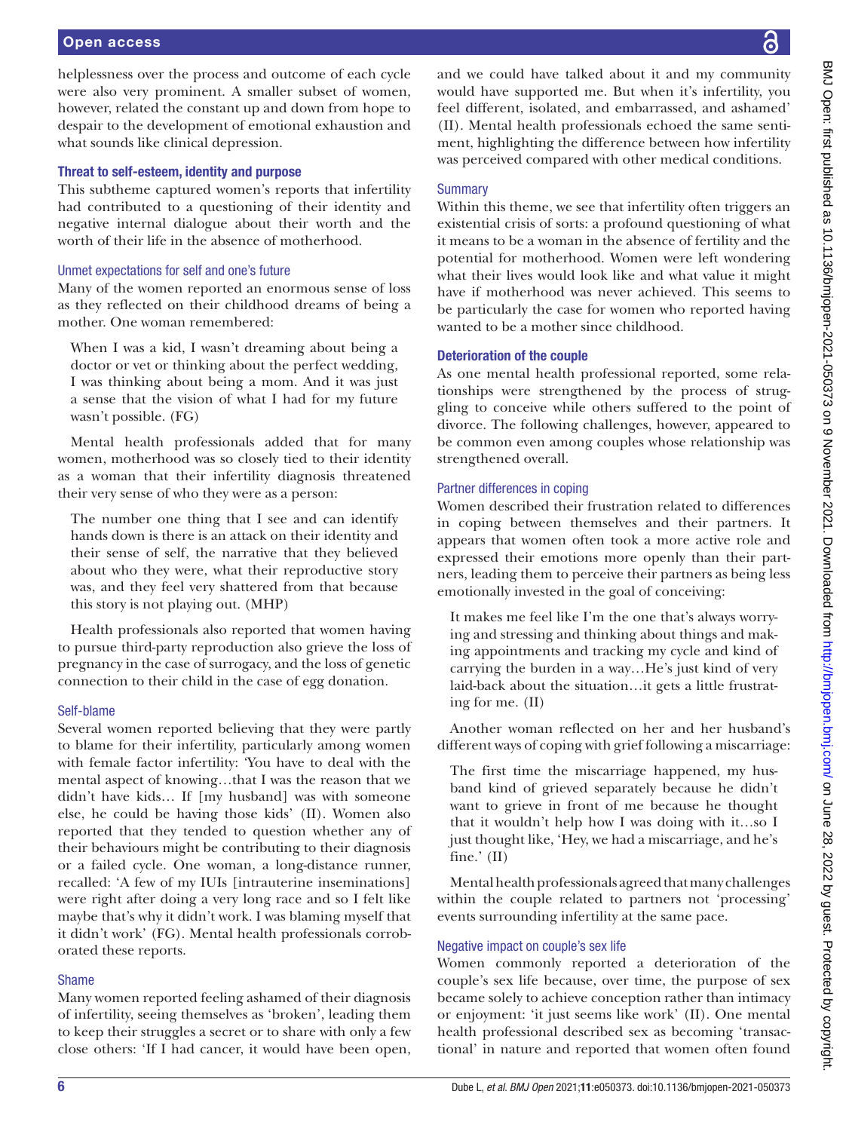#### Open access

helplessness over the process and outcome of each cycle were also very prominent. A smaller subset of women, however, related the constant up and down from hope to despair to the development of emotional exhaustion and what sounds like clinical depression.

#### Threat to self-esteem, identity and purpose

This subtheme captured women's reports that infertility had contributed to a questioning of their identity and negative internal dialogue about their worth and the worth of their life in the absence of motherhood.

#### Unmet expectations for self and one's future

Many of the women reported an enormous sense of loss as they reflected on their childhood dreams of being a mother. One woman remembered:

When I was a kid, I wasn't dreaming about being a doctor or vet or thinking about the perfect wedding, I was thinking about being a mom. And it was just a sense that the vision of what I had for my future wasn't possible. (FG)

Mental health professionals added that for many women, motherhood was so closely tied to their identity as a woman that their infertility diagnosis threatened their very sense of who they were as a person:

The number one thing that I see and can identify hands down is there is an attack on their identity and their sense of self, the narrative that they believed about who they were, what their reproductive story was, and they feel very shattered from that because this story is not playing out. (MHP)

Health professionals also reported that women having to pursue third-party reproduction also grieve the loss of pregnancy in the case of surrogacy, and the loss of genetic connection to their child in the case of egg donation.

# Self-blame

Several women reported believing that they were partly to blame for their infertility, particularly among women with female factor infertility: 'You have to deal with the mental aspect of knowing…that I was the reason that we didn't have kids… If [my husband] was with someone else, he could be having those kids' (II). Women also reported that they tended to question whether any of their behaviours might be contributing to their diagnosis or a failed cycle. One woman, a long-distance runner, recalled: 'A few of my IUIs [intrauterine inseminations] were right after doing a very long race and so I felt like maybe that's why it didn't work. I was blaming myself that it didn't work' (FG). Mental health professionals corroborated these reports.

# Shame

Many women reported feeling ashamed of their diagnosis of infertility, seeing themselves as 'broken', leading them to keep their struggles a secret or to share with only a few close others: 'If I had cancer, it would have been open,

and we could have talked about it and my community would have supported me. But when it's infertility, you feel different, isolated, and embarrassed, and ashamed' (II). Mental health professionals echoed the same sentiment, highlighting the difference between how infertility was perceived compared with other medical conditions.

#### **Summary**

Within this theme, we see that infertility often triggers an existential crisis of sorts: a profound questioning of what it means to be a woman in the absence of fertility and the potential for motherhood. Women were left wondering what their lives would look like and what value it might have if motherhood was never achieved. This seems to be particularly the case for women who reported having wanted to be a mother since childhood.

# Deterioration of the couple

As one mental health professional reported, some relationships were strengthened by the process of struggling to conceive while others suffered to the point of divorce. The following challenges, however, appeared to be common even among couples whose relationship was strengthened overall.

#### Partner differences in coping

Women described their frustration related to differences in coping between themselves and their partners. It appears that women often took a more active role and expressed their emotions more openly than their partners, leading them to perceive their partners as being less emotionally invested in the goal of conceiving:

It makes me feel like I'm the one that's always worrying and stressing and thinking about things and making appointments and tracking my cycle and kind of carrying the burden in a way…He's just kind of very laid-back about the situation…it gets a little frustrating for me. (II)

Another woman reflected on her and her husband's different ways of coping with grief following a miscarriage:

The first time the miscarriage happened, my husband kind of grieved separately because he didn't want to grieve in front of me because he thought that it wouldn't help how I was doing with it…so I just thought like, 'Hey, we had a miscarriage, and he's fine.' (II)

Mental health professionals agreed that many challenges within the couple related to partners not 'processing' events surrounding infertility at the same pace.

# Negative impact on couple's sex life

Women commonly reported a deterioration of the couple's sex life because, over time, the purpose of sex became solely to achieve conception rather than intimacy or enjoyment: 'it just seems like work' (II). One mental health professional described sex as becoming 'transactional' in nature and reported that women often found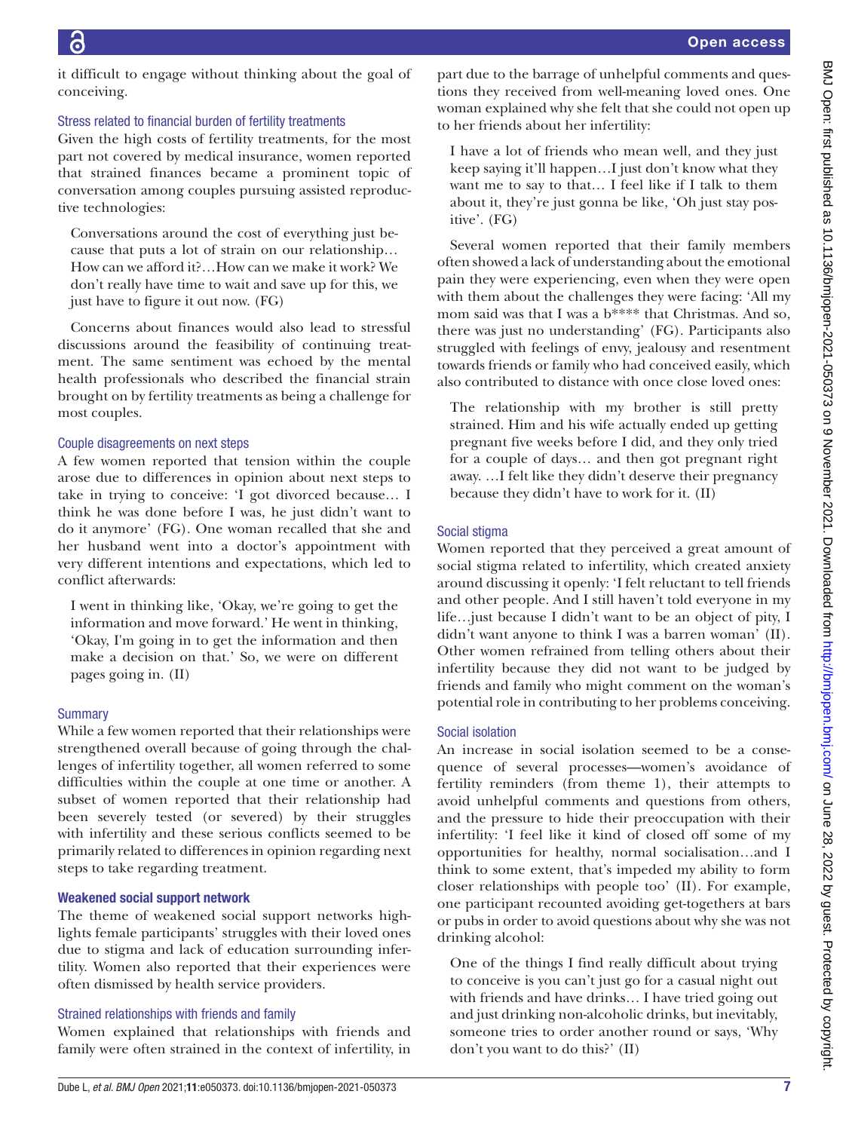it difficult to engage without thinking about the goal of conceiving.

# Stress related to financial burden of fertility treatments

Given the high costs of fertility treatments, for the most part not covered by medical insurance, women reported that strained finances became a prominent topic of conversation among couples pursuing assisted reproductive technologies:

Conversations around the cost of everything just because that puts a lot of strain on our relationship… How can we afford it?…How can we make it work? We don't really have time to wait and save up for this, we just have to figure it out now. (FG)

Concerns about finances would also lead to stressful discussions around the feasibility of continuing treatment. The same sentiment was echoed by the mental health professionals who described the financial strain brought on by fertility treatments as being a challenge for most couples.

# Couple disagreements on next steps

A few women reported that tension within the couple arose due to differences in opinion about next steps to take in trying to conceive: 'I got divorced because… I think he was done before I was, he just didn't want to do it anymore' (FG). One woman recalled that she and her husband went into a doctor's appointment with very different intentions and expectations, which led to conflict afterwards:

I went in thinking like, 'Okay, we're going to get the information and move forward.' He went in thinking, 'Okay, I'm going in to get the information and then make a decision on that.' So, we were on different pages going in. (II)

# **Summary**

While a few women reported that their relationships were strengthened overall because of going through the challenges of infertility together, all women referred to some difficulties within the couple at one time or another. A subset of women reported that their relationship had been severely tested (or severed) by their struggles with infertility and these serious conflicts seemed to be primarily related to differences in opinion regarding next steps to take regarding treatment.

# Weakened social support network

The theme of weakened social support networks highlights female participants' struggles with their loved ones due to stigma and lack of education surrounding infertility. Women also reported that their experiences were often dismissed by health service providers.

# Strained relationships with friends and family

Women explained that relationships with friends and family were often strained in the context of infertility, in

part due to the barrage of unhelpful comments and questions they received from well-meaning loved ones. One woman explained why she felt that she could not open up to her friends about her infertility:

I have a lot of friends who mean well, and they just keep saying it'll happen…I just don't know what they want me to say to that… I feel like if I talk to them about it, they're just gonna be like, 'Oh just stay positive'. (FG)

Several women reported that their family members often showed a lack of understanding about the emotional pain they were experiencing, even when they were open with them about the challenges they were facing: 'All my mom said was that I was a b\*\*\*\* that Christmas. And so, there was just no understanding' (FG). Participants also struggled with feelings of envy, jealousy and resentment towards friends or family who had conceived easily, which also contributed to distance with once close loved ones:

The relationship with my brother is still pretty strained. Him and his wife actually ended up getting pregnant five weeks before I did, and they only tried for a couple of days… and then got pregnant right away. …I felt like they didn't deserve their pregnancy because they didn't have to work for it. (II)

# Social stigma

Women reported that they perceived a great amount of social stigma related to infertility, which created anxiety around discussing it openly: 'I felt reluctant to tell friends and other people. And I still haven't told everyone in my life…just because I didn't want to be an object of pity, I didn't want anyone to think I was a barren woman' (II). Other women refrained from telling others about their infertility because they did not want to be judged by friends and family who might comment on the woman's potential role in contributing to her problems conceiving.

# Social isolation

An increase in social isolation seemed to be a consequence of several processes—women's avoidance of fertility reminders (from theme 1), their attempts to avoid unhelpful comments and questions from others, and the pressure to hide their preoccupation with their infertility: 'I feel like it kind of closed off some of my opportunities for healthy, normal socialisation…and I think to some extent, that's impeded my ability to form closer relationships with people too' (II). For example, one participant recounted avoiding get-togethers at bars or pubs in order to avoid questions about why she was not drinking alcohol:

One of the things I find really difficult about trying to conceive is you can't just go for a casual night out with friends and have drinks… I have tried going out and just drinking non-alcoholic drinks, but inevitably, someone tries to order another round or says, 'Why don't you want to do this?' (II)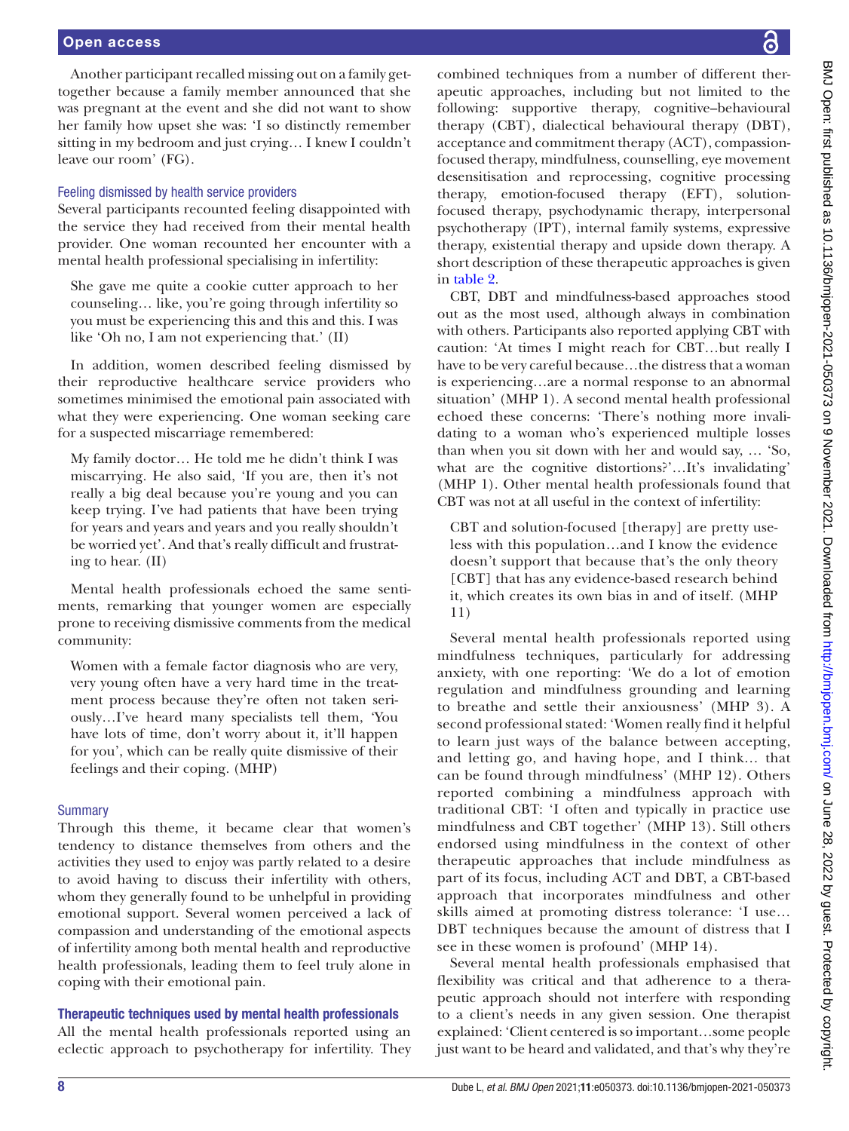Another participant recalled missing out on a family gettogether because a family member announced that she was pregnant at the event and she did not want to show her family how upset she was: 'I so distinctly remember sitting in my bedroom and just crying… I knew I couldn't leave our room' (FG).

# Feeling dismissed by health service providers

Several participants recounted feeling disappointed with the service they had received from their mental health provider. One woman recounted her encounter with a mental health professional specialising in infertility:

She gave me quite a cookie cutter approach to her counseling… like, you're going through infertility so you must be experiencing this and this and this. I was like 'Oh no, I am not experiencing that.' (II)

In addition, women described feeling dismissed by their reproductive healthcare service providers who sometimes minimised the emotional pain associated with what they were experiencing. One woman seeking care for a suspected miscarriage remembered:

My family doctor… He told me he didn't think I was miscarrying. He also said, 'If you are, then it's not really a big deal because you're young and you can keep trying. I've had patients that have been trying for years and years and years and you really shouldn't be worried yet'. And that's really difficult and frustrating to hear. (II)

Mental health professionals echoed the same sentiments, remarking that younger women are especially prone to receiving dismissive comments from the medical community:

Women with a female factor diagnosis who are very, very young often have a very hard time in the treatment process because they're often not taken seriously…I've heard many specialists tell them, 'You have lots of time, don't worry about it, it'll happen for you', which can be really quite dismissive of their feelings and their coping. (MHP)

# **Summary**

Through this theme, it became clear that women's tendency to distance themselves from others and the activities they used to enjoy was partly related to a desire to avoid having to discuss their infertility with others, whom they generally found to be unhelpful in providing emotional support. Several women perceived a lack of compassion and understanding of the emotional aspects of infertility among both mental health and reproductive health professionals, leading them to feel truly alone in coping with their emotional pain.

# Therapeutic techniques used by mental health professionals

All the mental health professionals reported using an eclectic approach to psychotherapy for infertility. They

combined techniques from a number of different therapeutic approaches, including but not limited to the following: supportive therapy, cognitive–behavioural therapy (CBT), dialectical behavioural therapy (DBT), acceptance and commitment therapy (ACT), compassionfocused therapy, mindfulness, counselling, eye movement desensitisation and reprocessing, cognitive processing therapy, emotion-focused therapy (EFT), solutionfocused therapy, psychodynamic therapy, interpersonal psychotherapy (IPT), internal family systems, expressive therapy, existential therapy and upside down therapy. A short description of these therapeutic approaches is given in [table](#page-8-0) 2.

CBT, DBT and mindfulness-based approaches stood out as the most used, although always in combination with others. Participants also reported applying CBT with caution: 'At times I might reach for CBT…but really I have to be very careful because…the distress that a woman is experiencing…are a normal response to an abnormal situation' (MHP 1). A second mental health professional echoed these concerns: 'There's nothing more invalidating to a woman who's experienced multiple losses than when you sit down with her and would say, … 'So, what are the cognitive distortions?'…It's invalidating' (MHP 1). Other mental health professionals found that CBT was not at all useful in the context of infertility:

CBT and solution-focused [therapy] are pretty useless with this population…and I know the evidence doesn't support that because that's the only theory [CBT] that has any evidence-based research behind it, which creates its own bias in and of itself. (MHP 11)

Several mental health professionals reported using mindfulness techniques, particularly for addressing anxiety, with one reporting: 'We do a lot of emotion regulation and mindfulness grounding and learning to breathe and settle their anxiousness' (MHP 3). A second professional stated: 'Women really find it helpful to learn just ways of the balance between accepting, and letting go, and having hope, and I think… that can be found through mindfulness' (MHP 12). Others reported combining a mindfulness approach with traditional CBT: 'I often and typically in practice use mindfulness and CBT together' (MHP 13). Still others endorsed using mindfulness in the context of other therapeutic approaches that include mindfulness as part of its focus, including ACT and DBT, a CBT-based approach that incorporates mindfulness and other skills aimed at promoting distress tolerance: 'I use… DBT techniques because the amount of distress that I see in these women is profound' (MHP 14).

Several mental health professionals emphasised that flexibility was critical and that adherence to a therapeutic approach should not interfere with responding to a client's needs in any given session. One therapist explained: 'Client centered is so important…some people just want to be heard and validated, and that's why they're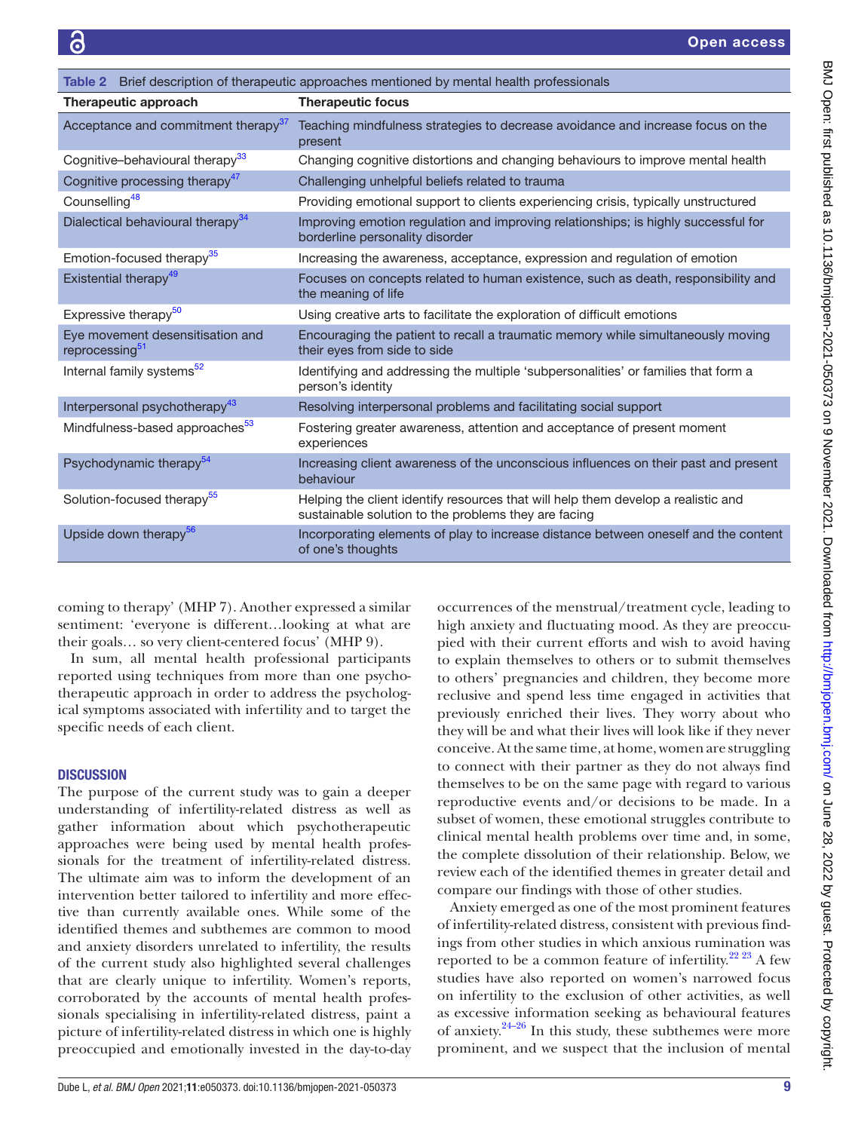<span id="page-8-0"></span>

| Table 2 Brief description of therapeutic approaches mentioned by mental health professionals |                                                                                                                                           |  |
|----------------------------------------------------------------------------------------------|-------------------------------------------------------------------------------------------------------------------------------------------|--|
| Therapeutic approach                                                                         | <b>Therapeutic focus</b>                                                                                                                  |  |
| Acceptance and commitment therapy <sup>37</sup>                                              | Teaching mindfulness strategies to decrease avoidance and increase focus on the<br>present                                                |  |
| Cognitive-behavioural therapy <sup>33</sup>                                                  | Changing cognitive distortions and changing behaviours to improve mental health                                                           |  |
| Cognitive processing therapy <sup>47</sup>                                                   | Challenging unhelpful beliefs related to trauma                                                                                           |  |
| Counselling <sup>48</sup>                                                                    | Providing emotional support to clients experiencing crisis, typically unstructured                                                        |  |
| Dialectical behavioural therapy <sup>34</sup>                                                | Improving emotion regulation and improving relationships; is highly successful for<br>borderline personality disorder                     |  |
| Emotion-focused therapy <sup>35</sup>                                                        | Increasing the awareness, acceptance, expression and regulation of emotion                                                                |  |
| Existential therapy <sup>49</sup>                                                            | Focuses on concepts related to human existence, such as death, responsibility and<br>the meaning of life                                  |  |
| Expressive therapy <sup>50</sup>                                                             | Using creative arts to facilitate the exploration of difficult emotions                                                                   |  |
| Eye movement desensitisation and<br>reprocessing <sup>51</sup>                               | Encouraging the patient to recall a traumatic memory while simultaneously moving<br>their eyes from side to side                          |  |
| Internal family systems <sup>52</sup>                                                        | Identifying and addressing the multiple 'subpersonalities' or families that form a<br>person's identity                                   |  |
| Interpersonal psychotherapy <sup>43</sup>                                                    | Resolving interpersonal problems and facilitating social support                                                                          |  |
| Mindfulness-based approaches <sup>53</sup>                                                   | Fostering greater awareness, attention and acceptance of present moment<br>experiences                                                    |  |
| Psychodynamic therapy <sup>54</sup>                                                          | Increasing client awareness of the unconscious influences on their past and present<br>behaviour                                          |  |
| Solution-focused therapy <sup>55</sup>                                                       | Helping the client identify resources that will help them develop a realistic and<br>sustainable solution to the problems they are facing |  |
| Upside down therapy <sup>56</sup>                                                            | Incorporating elements of play to increase distance between oneself and the content<br>of one's thoughts                                  |  |

coming to therapy' (MHP 7). Another expressed a similar sentiment: 'everyone is different…looking at what are their goals… so very client-centered focus' (MHP 9).

In sum, all mental health professional participants reported using techniques from more than one psychotherapeutic approach in order to address the psychological symptoms associated with infertility and to target the specific needs of each client.

# **DISCUSSION**

The purpose of the current study was to gain a deeper understanding of infertility-related distress as well as gather information about which psychotherapeutic approaches were being used by mental health professionals for the treatment of infertility-related distress. The ultimate aim was to inform the development of an intervention better tailored to infertility and more effective than currently available ones. While some of the identified themes and subthemes are common to mood and anxiety disorders unrelated to infertility, the results of the current study also highlighted several challenges that are clearly unique to infertility. Women's reports, corroborated by the accounts of mental health professionals specialising in infertility-related distress, paint a picture of infertility-related distress in which one is highly preoccupied and emotionally invested in the day-to-day

occurrences of the menstrual/treatment cycle, leading to high anxiety and fluctuating mood. As they are preoccupied with their current efforts and wish to avoid having to explain themselves to others or to submit themselves to others' pregnancies and children, they become more reclusive and spend less time engaged in activities that previously enriched their lives. They worry about who they will be and what their lives will look like if they never conceive. At the same time, at home, women are struggling to connect with their partner as they do not always find themselves to be on the same page with regard to various reproductive events and/or decisions to be made. In a subset of women, these emotional struggles contribute to clinical mental health problems over time and, in some, the complete dissolution of their relationship. Below, we review each of the identified themes in greater detail and compare our findings with those of other studies.

Anxiety emerged as one of the most prominent features of infertility-related distress, consistent with previous findings from other studies in which anxious rumination was reported to be a common feature of infertility.<sup>[22 23](#page-11-9)</sup> A few studies have also reported on women's narrowed focus on infertility to the exclusion of other activities, as well as excessive information seeking as behavioural features of anxiety. $24-26$  In this study, these subthemes were more prominent, and we suspect that the inclusion of mental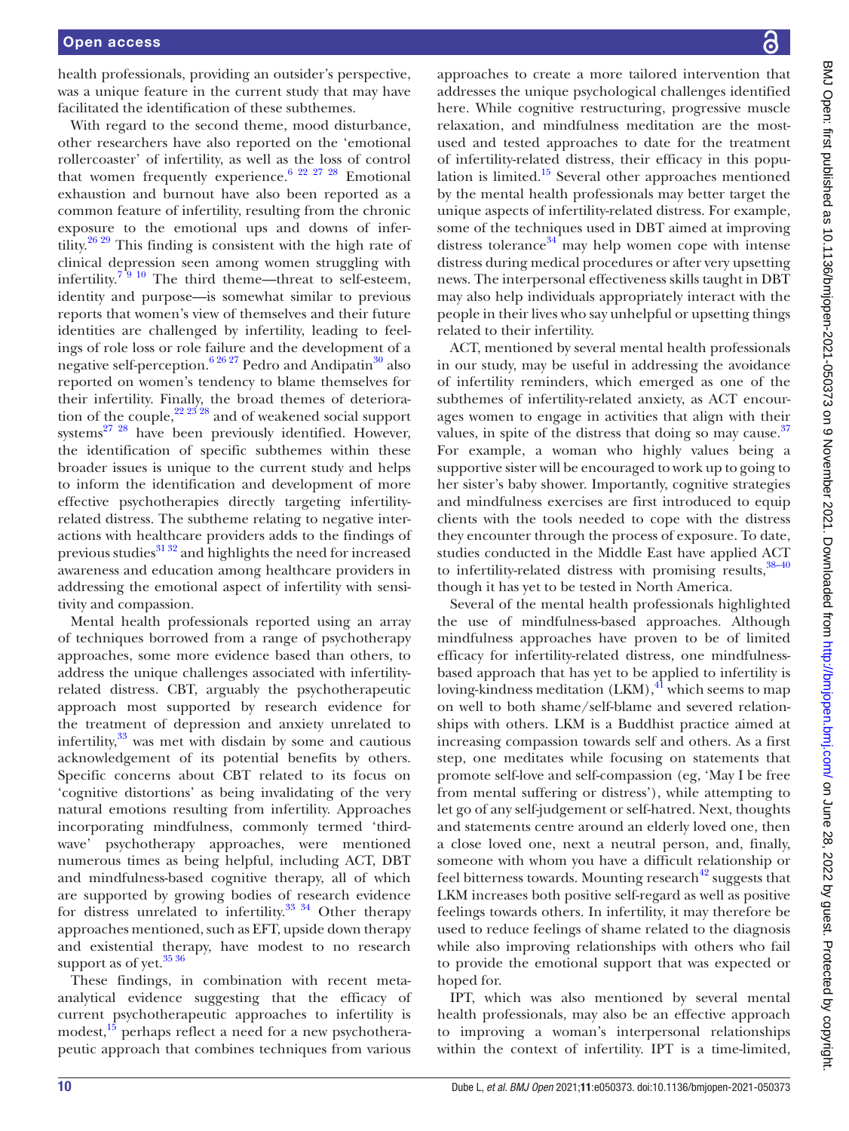health professionals, providing an outsider's perspective, was a unique feature in the current study that may have facilitated the identification of these subthemes.

With regard to the second theme, mood disturbance, other researchers have also reported on the 'emotional rollercoaster' of infertility, as well as the loss of control that women frequently experience.<sup>[6 22 27 28](#page-10-6)</sup> Emotional exhaustion and burnout have also been reported as a common feature of infertility, resulting from the chronic exposure to the emotional ups and downs of infertility.<sup>26 29</sup> This finding is consistent with the high rate of clinical depression seen among women struggling with infertility.<sup>7</sup><sup>9</sup> <sup>10</sup> The third theme—threat to self-esteem, identity and purpose—is somewhat similar to previous reports that women's view of themselves and their future identities are challenged by infertility, leading to feelings of role loss or role failure and the development of a negative self-perception.<sup>[6 26 27](#page-10-6)</sup> Pedro and Andipatin<sup>30</sup> also reported on women's tendency to blame themselves for their infertility. Finally, the broad themes of deterioration of the couple, $22\frac{23}{28}$  and of weakened social support systems $^{27}$   $^{28}$  have been previously identified. However, the identification of specific subthemes within these broader issues is unique to the current study and helps to inform the identification and development of more effective psychotherapies directly targeting infertilityrelated distress. The subtheme relating to negative interactions with healthcare providers adds to the findings of previous studies<sup>31 32</sup> and highlights the need for increased awareness and education among healthcare providers in addressing the emotional aspect of infertility with sensitivity and compassion.

Mental health professionals reported using an array of techniques borrowed from a range of psychotherapy approaches, some more evidence based than others, to address the unique challenges associated with infertilityrelated distress. CBT, arguably the psychotherapeutic approach most supported by research evidence for the treatment of depression and anxiety unrelated to infertility, $33$  was met with disdain by some and cautious acknowledgement of its potential benefits by others. Specific concerns about CBT related to its focus on 'cognitive distortions' as being invalidating of the very natural emotions resulting from infertility. Approaches incorporating mindfulness, commonly termed 'thirdwave' psychotherapy approaches, were mentioned numerous times as being helpful, including ACT, DBT and mindfulness-based cognitive therapy, all of which are supported by growing bodies of research evidence for distress unrelated to infertility.<sup>33 34</sup> Other therapy approaches mentioned, such as EFT, upside down therapy and existential therapy, have modest to no research support as of yet. $3536$ 

These findings, in combination with recent metaanalytical evidence suggesting that the efficacy of current psychotherapeutic approaches to infertility is modest,<sup>15</sup> perhaps reflect a need for a new psychotherapeutic approach that combines techniques from various

approaches to create a more tailored intervention that addresses the unique psychological challenges identified here. While cognitive restructuring, progressive muscle relaxation, and mindfulness meditation are the mostused and tested approaches to date for the treatment of infertility-related distress, their efficacy in this population is limited. $15$  Several other approaches mentioned by the mental health professionals may better target the unique aspects of infertility-related distress. For example, some of the techniques used in DBT aimed at improving distress tolerance $34$  may help women cope with intense distress during medical procedures or after very upsetting news. The interpersonal effectiveness skills taught in DBT may also help individuals appropriately interact with the people in their lives who say unhelpful or upsetting things related to their infertility.

ACT, mentioned by several mental health professionals in our study, may be useful in addressing the avoidance of infertility reminders, which emerged as one of the subthemes of infertility-related anxiety, as ACT encourages women to engage in activities that align with their values, in spite of the distress that doing so may cause. $37$ For example, a woman who highly values being a supportive sister will be encouraged to work up to going to her sister's baby shower. Importantly, cognitive strategies and mindfulness exercises are first introduced to equip clients with the tools needed to cope with the distress they encounter through the process of exposure. To date, studies conducted in the Middle East have applied ACT to infertility-related distress with promising results,  $38-40$ though it has yet to be tested in North America.

Several of the mental health professionals highlighted the use of mindfulness-based approaches. Although mindfulness approaches have proven to be of limited efficacy for infertility-related distress, one mindfulnessbased approach that has yet to be applied to infertility is loving-kindness meditation  $(LKM)$ ,  $\frac{1}{4}$  which seems to map on well to both shame/self-blame and severed relationships with others. LKM is a Buddhist practice aimed at increasing compassion towards self and others. As a first step, one meditates while focusing on statements that promote self-love and self-compassion (eg, 'May I be free from mental suffering or distress'), while attempting to let go of any self-judgement or self-hatred. Next, thoughts and statements centre around an elderly loved one, then a close loved one, next a neutral person, and, finally, someone with whom you have a difficult relationship or feel bitterness towards. Mounting research<sup>42</sup> suggests that LKM increases both positive self-regard as well as positive feelings towards others. In infertility, it may therefore be used to reduce feelings of shame related to the diagnosis while also improving relationships with others who fail to provide the emotional support that was expected or hoped for.

IPT, which was also mentioned by several mental health professionals, may also be an effective approach to improving a woman's interpersonal relationships within the context of infertility. IPT is a time-limited,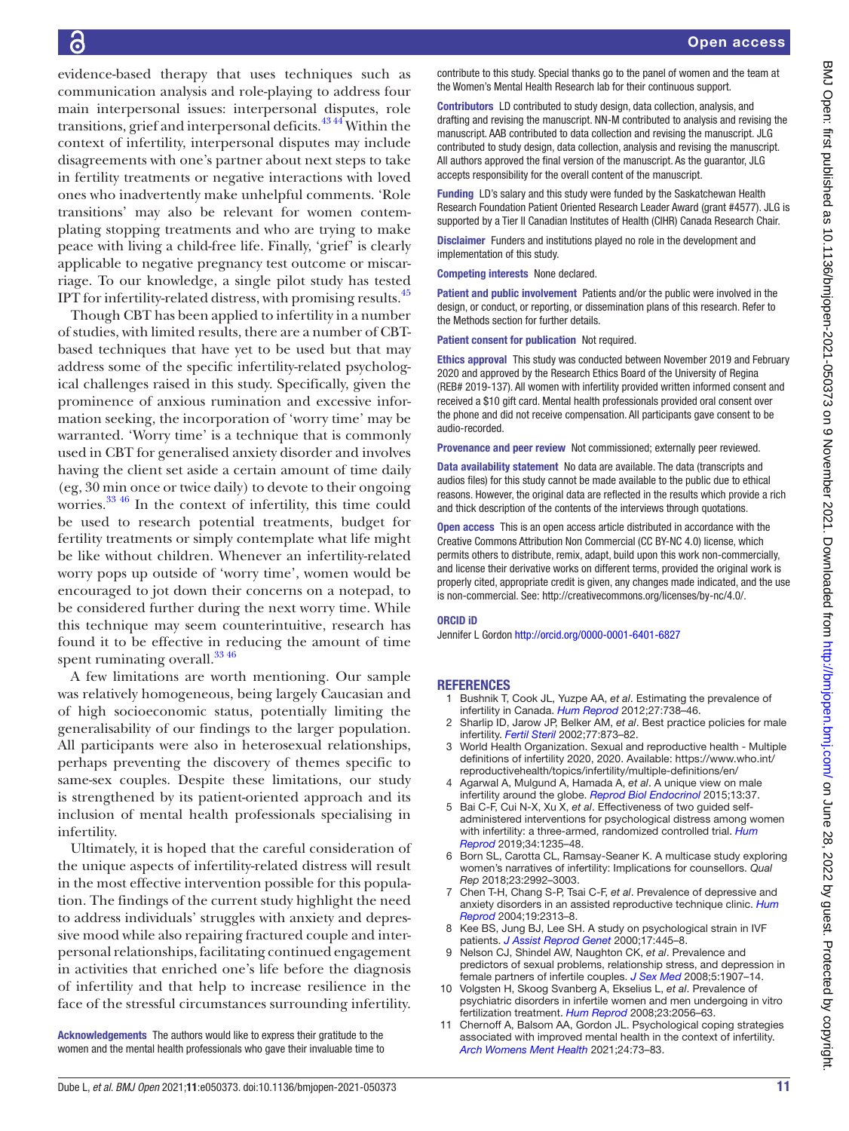evidence-based therapy that uses techniques such as communication analysis and role-playing to address four main interpersonal issues: interpersonal disputes, role transitions, grief and interpersonal deficits.<sup>4344</sup> Within the context of infertility, interpersonal disputes may include disagreements with one's partner about next steps to take in fertility treatments or negative interactions with loved ones who inadvertently make unhelpful comments. 'Role transitions' may also be relevant for women contemplating stopping treatments and who are trying to make peace with living a child-free life. Finally, 'grief' is clearly applicable to negative pregnancy test outcome or miscarriage. To our knowledge, a single pilot study has tested IPT for infertility-related distress, with promising results.[45](#page-11-33)

Though CBT has been applied to infertility in a number of studies, with limited results, there are a number of CBTbased techniques that have yet to be used but that may address some of the specific infertility-related psychological challenges raised in this study. Specifically, given the prominence of anxious rumination and excessive information seeking, the incorporation of 'worry time' may be warranted. 'Worry time' is a technique that is commonly used in CBT for generalised anxiety disorder and involves having the client set aside a certain amount of time daily (eg, 30 min once or twice daily) to devote to their ongoing worries[.33 46](#page-11-12) In the context of infertility, this time could be used to research potential treatments, budget for fertility treatments or simply contemplate what life might be like without children. Whenever an infertility-related worry pops up outside of 'worry time', women would be encouraged to jot down their concerns on a notepad, to be considered further during the next worry time. While this technique may seem counterintuitive, research has found it to be effective in reducing the amount of time spent ruminating overall.<sup>3346</sup>

A few limitations are worth mentioning. Our sample was relatively homogeneous, being largely Caucasian and of high socioeconomic status, potentially limiting the generalisability of our findings to the larger population. All participants were also in heterosexual relationships, perhaps preventing the discovery of themes specific to same-sex couples. Despite these limitations, our study is strengthened by its patient-oriented approach and its inclusion of mental health professionals specialising in infertility.

Ultimately, it is hoped that the careful consideration of the unique aspects of infertility-related distress will result in the most effective intervention possible for this population. The findings of the current study highlight the need to address individuals' struggles with anxiety and depressive mood while also repairing fractured couple and interpersonal relationships, facilitating continued engagement in activities that enriched one's life before the diagnosis of infertility and that help to increase resilience in the face of the stressful circumstances surrounding infertility.

Acknowledgements The authors would like to express their gratitude to the women and the mental health professionals who gave their invaluable time to contribute to this study. Special thanks go to the panel of women and the team at the Women's Mental Health Research lab for their continuous support.

Contributors LD contributed to study design, data collection, analysis, and drafting and revising the manuscript. NN-M contributed to analysis and revising the manuscript. AAB contributed to data collection and revising the manuscript. JLG contributed to study design, data collection, analysis and revising the manuscript. All authors approved the final version of the manuscript. As the guarantor, JLG accepts responsibility for the overall content of the manuscript.

Funding LD's salary and this study were funded by the Saskatchewan Health Research Foundation Patient Oriented Research Leader Award (grant #4577). JLG is supported by a Tier II Canadian Institutes of Health (CIHR) Canada Research Chair.

Disclaimer Funders and institutions played no role in the development and implementation of this study.

Competing interests None declared.

Patient and public involvement Patients and/or the public were involved in the design, or conduct, or reporting, or dissemination plans of this research. Refer to the Methods section for further details.

Patient consent for publication Not required.

Ethics approval This study was conducted between November 2019 and February 2020 and approved by the Research Ethics Board of the University of Regina (REB# 2019-137). All women with infertility provided written informed consent and received a \$10 gift card. Mental health professionals provided oral consent over the phone and did not receive compensation. All participants gave consent to be audio-recorded.

Provenance and peer review Not commissioned; externally peer reviewed.

Data availability statement No data are available. The data (transcripts and audios files) for this study cannot be made available to the public due to ethical reasons. However, the original data are reflected in the results which provide a rich and thick description of the contents of the interviews through quotations.

Open access This is an open access article distributed in accordance with the Creative Commons Attribution Non Commercial (CC BY-NC 4.0) license, which permits others to distribute, remix, adapt, build upon this work non-commercially, and license their derivative works on different terms, provided the original work is properly cited, appropriate credit is given, any changes made indicated, and the use is non-commercial. See: [http://creativecommons.org/licenses/by-nc/4.0/.](http://creativecommons.org/licenses/by-nc/4.0/)

#### ORCID iD

Jennifer L Gordon<http://orcid.org/0000-0001-6401-6827>

#### **REFERENCES**

- <span id="page-10-0"></span>1 Bushnik T, Cook JL, Yuzpe AA, *et al*. Estimating the prevalence of infertility in Canada. *[Hum Reprod](http://dx.doi.org/10.1093/humrep/der465)* 2012;27:738–46.
- 2 Sharlip ID, Jarow JP, Belker AM, *et al*. Best practice policies for male infertility. *[Fertil Steril](http://dx.doi.org/10.1016/S0015-0282(02)03105-9)* 2002;77:873–82.
- <span id="page-10-1"></span>3 World Health Organization. Sexual and reproductive health - Multiple definitions of infertility 2020, 2020. Available: [https://www.who.int/](https://www.who.int/reproductivehealth/topics/infertility/multiple-definitions/en/) [reproductivehealth/topics/infertility/multiple-definitions/en/](https://www.who.int/reproductivehealth/topics/infertility/multiple-definitions/en/)
- <span id="page-10-2"></span>4 Agarwal A, Mulgund A, Hamada A, *et al*. A unique view on male infertility around the globe. *[Reprod Biol Endocrinol](http://dx.doi.org/10.1186/s12958-015-0032-1)* 2015;13:37.
- <span id="page-10-3"></span>5 Bai C-F, Cui N-X, Xu X, *et al*. Effectiveness of two guided selfadministered interventions for psychological distress among women with infertility: a three-armed, randomized controlled trial. *[Hum](http://dx.doi.org/10.1093/humrep/dez066)  [Reprod](http://dx.doi.org/10.1093/humrep/dez066)* 2019;34:1235–48.
- <span id="page-10-6"></span>6 Born SL, Carotta CL, Ramsay-Seaner K. A multicase study exploring women's narratives of infertility: Implications for counsellors. *Qual Rep* 2018;23:2992–3003.
- <span id="page-10-4"></span>7 Chen T-H, Chang S-P, Tsai C-F, *et al*. Prevalence of depressive and anxiety disorders in an assisted reproductive technique clinic. *[Hum](http://dx.doi.org/10.1093/humrep/deh414)  [Reprod](http://dx.doi.org/10.1093/humrep/deh414)* 2004;19:2313–8.
- 8 Kee BS, Jung BJ, Lee SH. A study on psychological strain in IVF patients. *[J Assist Reprod Genet](http://dx.doi.org/10.1023/a:1009417302758)* 2000;17:445–8.
- 9 Nelson CJ, Shindel AW, Naughton CK, *et al*. Prevalence and predictors of sexual problems, relationship stress, and depression in female partners of infertile couples. *[J Sex Med](http://dx.doi.org/10.1111/j.1743-6109.2008.00880.x)* 2008;5:1907–14.
- 10 Volgsten H, Skoog Svanberg A, Ekselius L, *et al*. Prevalence of psychiatric disorders in infertile women and men undergoing in vitro fertilization treatment. *[Hum Reprod](http://dx.doi.org/10.1093/humrep/den154)* 2008;23:2056–63.
- <span id="page-10-5"></span>11 Chernoff A, Balsom AA, Gordon JL. Psychological coping strategies associated with improved mental health in the context of infertility. *[Arch Womens Ment Health](http://dx.doi.org/10.1007/s00737-020-01029-9)* 2021;24:73–83.